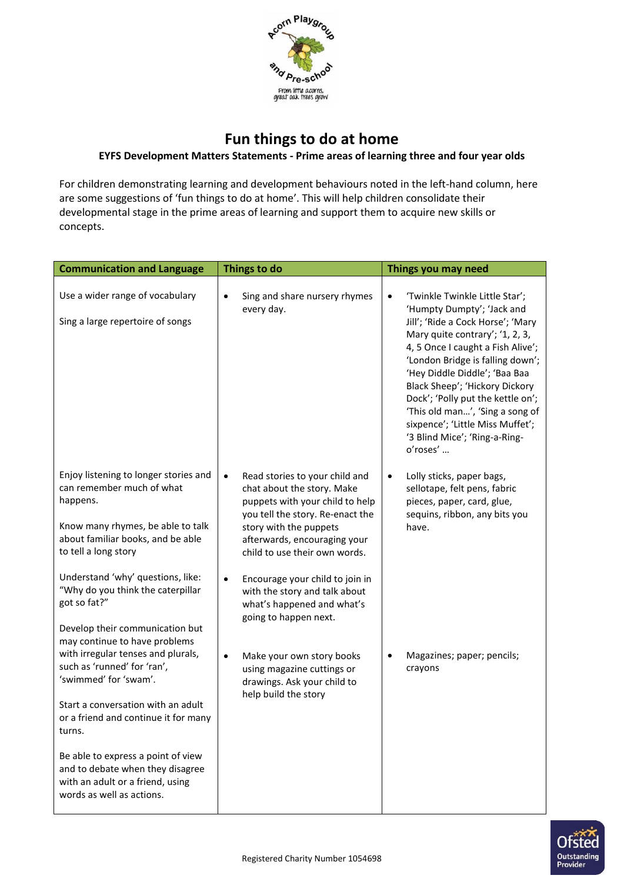

## **Fun things to do at home**

## **EYFS Development Matters Statements - Prime areas of learning three and four year olds**

For children demonstrating learning and development behaviours noted in the left-hand column, here are some suggestions of 'fun things to do at home'. This will help children consolidate their developmental stage in the prime areas of learning and support them to acquire new skills or concepts.

| <b>Communication and Language</b>                                                                                                                                                                                                                                                                                                                              | Things to do                                                                                                                                                                                                                                                                                                                                                                        | Things you may need                                                                                                                                                                                                                                                                                                                                                                                                                                    |
|----------------------------------------------------------------------------------------------------------------------------------------------------------------------------------------------------------------------------------------------------------------------------------------------------------------------------------------------------------------|-------------------------------------------------------------------------------------------------------------------------------------------------------------------------------------------------------------------------------------------------------------------------------------------------------------------------------------------------------------------------------------|--------------------------------------------------------------------------------------------------------------------------------------------------------------------------------------------------------------------------------------------------------------------------------------------------------------------------------------------------------------------------------------------------------------------------------------------------------|
| Use a wider range of vocabulary<br>Sing a large repertoire of songs                                                                                                                                                                                                                                                                                            | Sing and share nursery rhymes<br>$\bullet$<br>every day.                                                                                                                                                                                                                                                                                                                            | 'Twinkle Twinkle Little Star';<br>$\bullet$<br>'Humpty Dumpty'; 'Jack and<br>Jill'; 'Ride a Cock Horse'; 'Mary<br>Mary quite contrary'; '1, 2, 3,<br>4, 5 Once I caught a Fish Alive';<br>'London Bridge is falling down';<br>'Hey Diddle Diddle'; 'Baa Baa<br>Black Sheep'; 'Hickory Dickory<br>Dock'; 'Polly put the kettle on';<br>'This old man', 'Sing a song of<br>sixpence'; 'Little Miss Muffet';<br>'3 Blind Mice'; 'Ring-a-Ring-<br>o'roses' |
| Enjoy listening to longer stories and<br>can remember much of what<br>happens.<br>Know many rhymes, be able to talk<br>about familiar books, and be able<br>to tell a long story<br>Understand 'why' questions, like:<br>"Why do you think the caterpillar<br>got so fat?"<br>Develop their communication but                                                  | $\bullet$<br>Read stories to your child and<br>chat about the story. Make<br>puppets with your child to help<br>you tell the story. Re-enact the<br>story with the puppets<br>afterwards, encouraging your<br>child to use their own words.<br>$\bullet$<br>Encourage your child to join in<br>with the story and talk about<br>what's happened and what's<br>going to happen next. | Lolly sticks, paper bags,<br>$\bullet$<br>sellotape, felt pens, fabric<br>pieces, paper, card, glue,<br>sequins, ribbon, any bits you<br>have.                                                                                                                                                                                                                                                                                                         |
| may continue to have problems<br>with irregular tenses and plurals,<br>such as 'runned' for 'ran',<br>'swimmed' for 'swam'.<br>Start a conversation with an adult<br>or a friend and continue it for many<br>turns.<br>Be able to express a point of view<br>and to debate when they disagree<br>with an adult or a friend, using<br>words as well as actions. | Make your own story books<br>$\bullet$<br>using magazine cuttings or<br>drawings. Ask your child to<br>help build the story                                                                                                                                                                                                                                                         | Magazines; paper; pencils;<br>crayons                                                                                                                                                                                                                                                                                                                                                                                                                  |

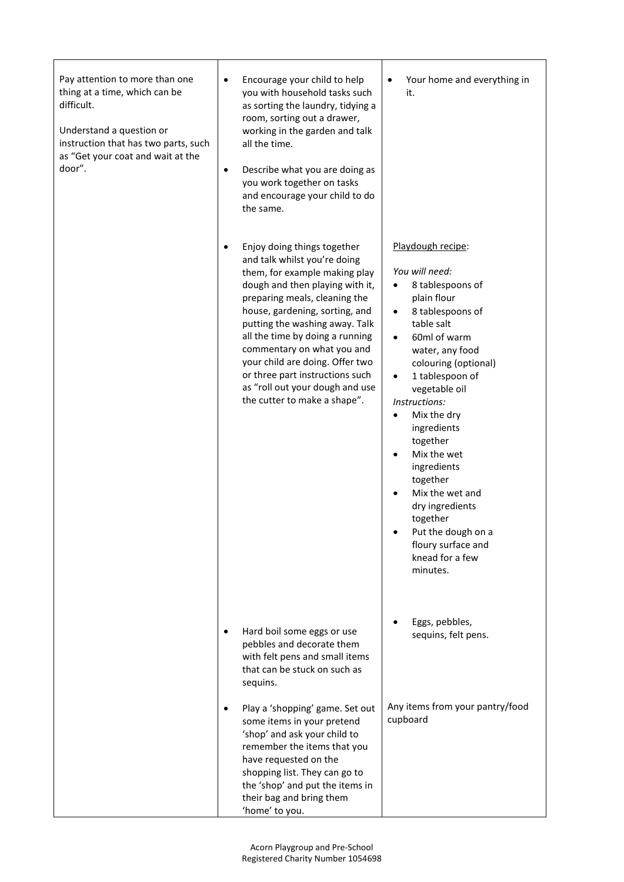| Pay attention to more than one<br>thing at a time, which can be<br>difficult.<br>Understand a question or<br>instruction that has two parts, such<br>as "Get your coat and wait at the<br>door". | Encourage your child to help<br>$\bullet$<br>you with household tasks such<br>as sorting the laundry, tidying a<br>room, sorting out a drawer,<br>working in the garden and talk<br>all the time.<br>Describe what you are doing as<br>$\bullet$<br>you work together on tasks<br>and encourage your child to do<br>the same.                                                                                                                  | Your home and everything in<br>$\bullet$<br>it.                                                                                                                                                                                                                                                                                                                                                                                                                                                                                      |
|--------------------------------------------------------------------------------------------------------------------------------------------------------------------------------------------------|------------------------------------------------------------------------------------------------------------------------------------------------------------------------------------------------------------------------------------------------------------------------------------------------------------------------------------------------------------------------------------------------------------------------------------------------|--------------------------------------------------------------------------------------------------------------------------------------------------------------------------------------------------------------------------------------------------------------------------------------------------------------------------------------------------------------------------------------------------------------------------------------------------------------------------------------------------------------------------------------|
|                                                                                                                                                                                                  | Enjoy doing things together<br>and talk whilst you're doing<br>them, for example making play<br>dough and then playing with it,<br>preparing meals, cleaning the<br>house, gardening, sorting, and<br>putting the washing away. Talk<br>all the time by doing a running<br>commentary on what you and<br>your child are doing. Offer two<br>or three part instructions such<br>as "roll out your dough and use<br>the cutter to make a shape". | Playdough recipe:<br>You will need:<br>8 tablespoons of<br>$\bullet$<br>plain flour<br>8 tablespoons of<br>$\bullet$<br>table salt<br>60ml of warm<br>$\bullet$<br>water, any food<br>colouring (optional)<br>1 tablespoon of<br>$\bullet$<br>vegetable oil<br>Instructions:<br>Mix the dry<br>$\bullet$<br>ingredients<br>together<br>Mix the wet<br>$\bullet$<br>ingredients<br>together<br>Mix the wet and<br>$\bullet$<br>dry ingredients<br>together<br>Put the dough on a<br>floury surface and<br>knead for a few<br>minutes. |
|                                                                                                                                                                                                  | Hard boil some eggs or use<br>pebbles and decorate them<br>with felt pens and small items<br>that can be stuck on such as<br>sequins.                                                                                                                                                                                                                                                                                                          | Eggs, pebbles,<br>sequins, felt pens.                                                                                                                                                                                                                                                                                                                                                                                                                                                                                                |
|                                                                                                                                                                                                  | Play a 'shopping' game. Set out<br>some items in your pretend<br>'shop' and ask your child to<br>remember the items that you<br>have requested on the<br>shopping list. They can go to<br>the 'shop' and put the items in<br>their bag and bring them<br>'home' to you.                                                                                                                                                                        | Any items from your pantry/food<br>cupboard                                                                                                                                                                                                                                                                                                                                                                                                                                                                                          |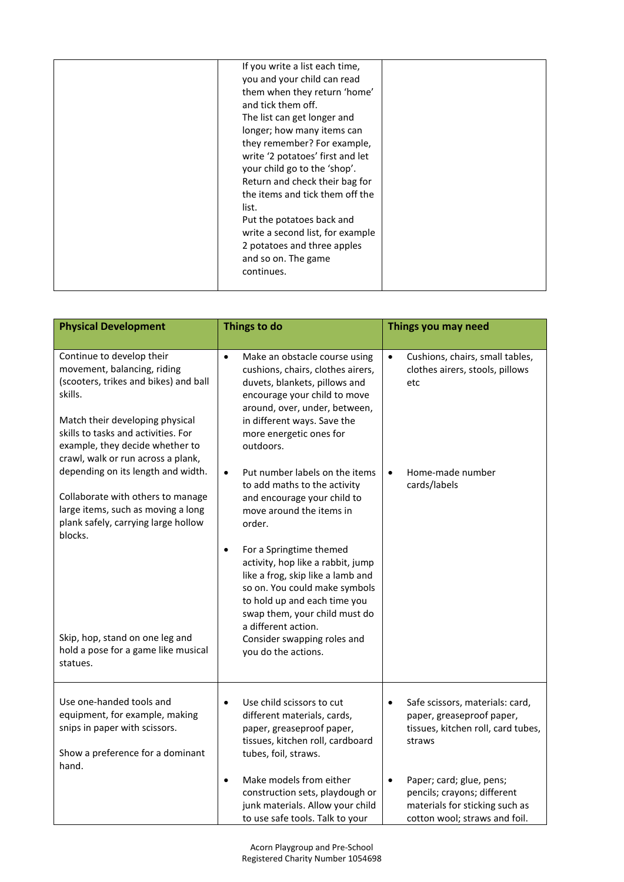| If you write a list each time,<br>you and your child can read<br>them when they return 'home'<br>and tick them off.<br>The list can get longer and<br>longer; how many items can<br>they remember? For example,<br>write '2 potatoes' first and let<br>your child go to the 'shop'.<br>Return and check their bag for<br>the items and tick them off the<br>list.<br>Put the potatoes back and<br>write a second list, for example<br>2 potatoes and three apples<br>and so on. The game<br>continues. |  |  |
|--------------------------------------------------------------------------------------------------------------------------------------------------------------------------------------------------------------------------------------------------------------------------------------------------------------------------------------------------------------------------------------------------------------------------------------------------------------------------------------------------------|--|--|
|                                                                                                                                                                                                                                                                                                                                                                                                                                                                                                        |  |  |
|                                                                                                                                                                                                                                                                                                                                                                                                                                                                                                        |  |  |

| <b>Physical Development</b>                                                                                                                                                                                                                                     | Things to do                                                                                                                                                                                                                                                                                  | Things you may need                                                                                                                     |
|-----------------------------------------------------------------------------------------------------------------------------------------------------------------------------------------------------------------------------------------------------------------|-----------------------------------------------------------------------------------------------------------------------------------------------------------------------------------------------------------------------------------------------------------------------------------------------|-----------------------------------------------------------------------------------------------------------------------------------------|
|                                                                                                                                                                                                                                                                 |                                                                                                                                                                                                                                                                                               |                                                                                                                                         |
| Continue to develop their<br>movement, balancing, riding<br>(scooters, trikes and bikes) and ball<br>skills.<br>Match their developing physical<br>skills to tasks and activities. For<br>example, they decide whether to<br>crawl, walk or run across a plank, | Make an obstacle course using<br>$\bullet$<br>cushions, chairs, clothes airers,<br>duvets, blankets, pillows and<br>encourage your child to move<br>around, over, under, between,<br>in different ways. Save the<br>more energetic ones for<br>outdoors.                                      | Cushions, chairs, small tables,<br>$\bullet$<br>clothes airers, stools, pillows<br>etc                                                  |
| depending on its length and width.<br>Collaborate with others to manage<br>large items, such as moving a long<br>plank safely, carrying large hollow<br>blocks.                                                                                                 | Put number labels on the items<br>$\bullet$<br>to add maths to the activity<br>and encourage your child to<br>move around the items in<br>order.                                                                                                                                              | Home-made number<br>$\bullet$<br>cards/labels                                                                                           |
| Skip, hop, stand on one leg and<br>hold a pose for a game like musical<br>statues.                                                                                                                                                                              | For a Springtime themed<br>$\bullet$<br>activity, hop like a rabbit, jump<br>like a frog, skip like a lamb and<br>so on. You could make symbols<br>to hold up and each time you<br>swap them, your child must do<br>a different action.<br>Consider swapping roles and<br>you do the actions. |                                                                                                                                         |
| Use one-handed tools and<br>equipment, for example, making<br>snips in paper with scissors.<br>Show a preference for a dominant<br>hand.                                                                                                                        | Use child scissors to cut<br>$\bullet$<br>different materials, cards,<br>paper, greaseproof paper,<br>tissues, kitchen roll, cardboard<br>tubes, foil, straws.                                                                                                                                | Safe scissors, materials: card,<br>$\bullet$<br>paper, greaseproof paper,<br>tissues, kitchen roll, card tubes,<br>straws               |
|                                                                                                                                                                                                                                                                 | Make models from either<br>$\bullet$<br>construction sets, playdough or<br>junk materials. Allow your child<br>to use safe tools. Talk to your                                                                                                                                                | Paper; card; glue, pens;<br>$\bullet$<br>pencils; crayons; different<br>materials for sticking such as<br>cotton wool; straws and foil. |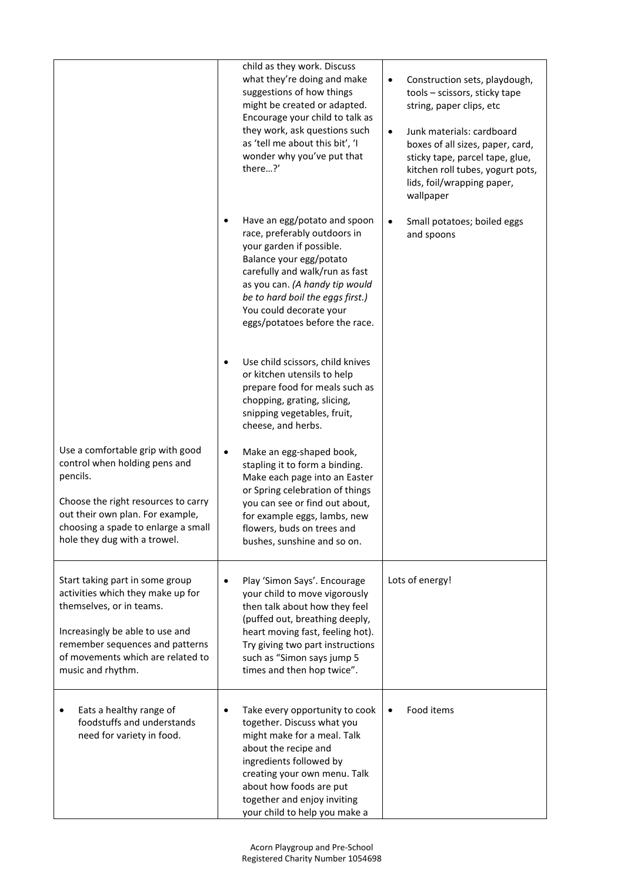|                                                                                                                                                                                                                                  | child as they work. Discuss                                                                                                                                                                                                                                                              |                                                                                                                                                                                                                                                                                                         |
|----------------------------------------------------------------------------------------------------------------------------------------------------------------------------------------------------------------------------------|------------------------------------------------------------------------------------------------------------------------------------------------------------------------------------------------------------------------------------------------------------------------------------------|---------------------------------------------------------------------------------------------------------------------------------------------------------------------------------------------------------------------------------------------------------------------------------------------------------|
|                                                                                                                                                                                                                                  | what they're doing and make<br>suggestions of how things<br>might be created or adapted.<br>Encourage your child to talk as<br>they work, ask questions such<br>as 'tell me about this bit', 'I<br>wonder why you've put that<br>there?'                                                 | Construction sets, playdough,<br>$\bullet$<br>tools - scissors, sticky tape<br>string, paper clips, etc<br>Junk materials: cardboard<br>$\bullet$<br>boxes of all sizes, paper, card,<br>sticky tape, parcel tape, glue,<br>kitchen roll tubes, yogurt pots,<br>lids, foil/wrapping paper,<br>wallpaper |
|                                                                                                                                                                                                                                  | Have an egg/potato and spoon<br>race, preferably outdoors in<br>your garden if possible.<br>Balance your egg/potato<br>carefully and walk/run as fast<br>as you can. (A handy tip would<br>be to hard boil the eggs first.)<br>You could decorate your<br>eggs/potatoes before the race. | Small potatoes; boiled eggs<br>$\bullet$<br>and spoons                                                                                                                                                                                                                                                  |
|                                                                                                                                                                                                                                  | Use child scissors, child knives<br>$\bullet$<br>or kitchen utensils to help<br>prepare food for meals such as<br>chopping, grating, slicing,<br>snipping vegetables, fruit,<br>cheese, and herbs.                                                                                       |                                                                                                                                                                                                                                                                                                         |
| Use a comfortable grip with good<br>control when holding pens and<br>pencils.<br>Choose the right resources to carry<br>out their own plan. For example,<br>choosing a spade to enlarge a small<br>hole they dug with a trowel.  | Make an egg-shaped book,<br>$\bullet$<br>stapling it to form a binding.<br>Make each page into an Easter<br>or Spring celebration of things<br>you can see or find out about,<br>for example eggs, lambs, new<br>flowers, buds on trees and<br>bushes, sunshine and so on.               |                                                                                                                                                                                                                                                                                                         |
| Start taking part in some group<br>activities which they make up for<br>themselves, or in teams.<br>Increasingly be able to use and<br>remember sequences and patterns<br>of movements which are related to<br>music and rhythm. | Play 'Simon Says'. Encourage<br>$\bullet$<br>your child to move vigorously<br>then talk about how they feel<br>(puffed out, breathing deeply,<br>heart moving fast, feeling hot).<br>Try giving two part instructions<br>such as "Simon says jump 5<br>times and then hop twice".        | Lots of energy!                                                                                                                                                                                                                                                                                         |
| Eats a healthy range of<br>foodstuffs and understands<br>need for variety in food.                                                                                                                                               | Take every opportunity to cook<br>together. Discuss what you<br>might make for a meal. Talk<br>about the recipe and<br>ingredients followed by<br>creating your own menu. Talk<br>about how foods are put<br>together and enjoy inviting<br>your child to help you make a                | Food items                                                                                                                                                                                                                                                                                              |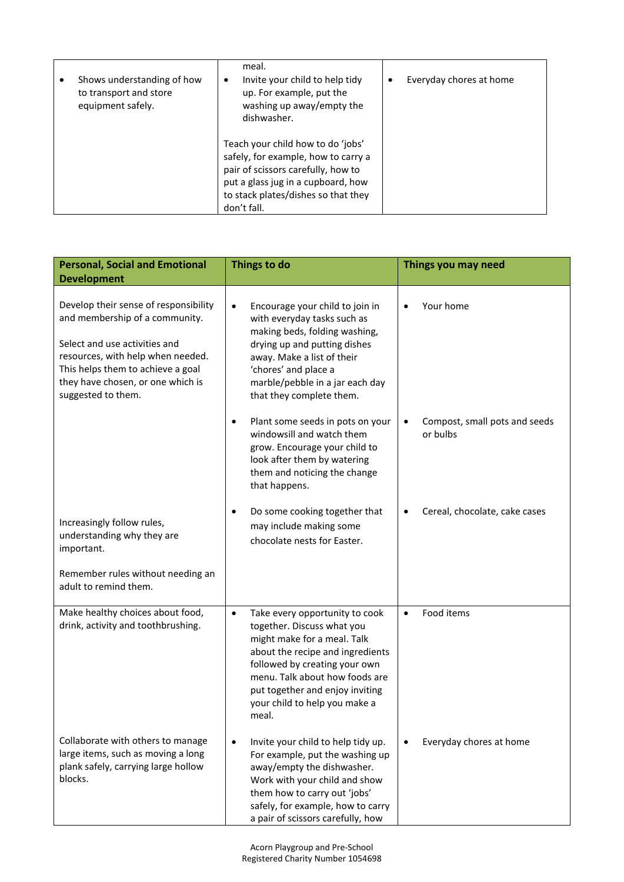| Shows understanding of how<br>to transport and store<br>equipment safely. | meal.<br>Invite your child to help tidy<br>up. For example, put the<br>washing up away/empty the<br>dishwasher.                                                                                            | Everyday chores at home |
|---------------------------------------------------------------------------|------------------------------------------------------------------------------------------------------------------------------------------------------------------------------------------------------------|-------------------------|
|                                                                           | Teach your child how to do 'jobs'<br>safely, for example, how to carry a<br>pair of scissors carefully, how to<br>put a glass jug in a cupboard, how<br>to stack plates/dishes so that they<br>don't fall. |                         |

| <b>Personal, Social and Emotional</b>                                                                                                                                                                                                         | Things to do                                                                                                                                                                                                                                                                                 | Things you may need                                    |
|-----------------------------------------------------------------------------------------------------------------------------------------------------------------------------------------------------------------------------------------------|----------------------------------------------------------------------------------------------------------------------------------------------------------------------------------------------------------------------------------------------------------------------------------------------|--------------------------------------------------------|
| <b>Development</b>                                                                                                                                                                                                                            |                                                                                                                                                                                                                                                                                              |                                                        |
| Develop their sense of responsibility<br>and membership of a community.<br>Select and use activities and<br>resources, with help when needed.<br>This helps them to achieve a goal<br>they have chosen, or one which is<br>suggested to them. | Encourage your child to join in<br>$\bullet$<br>with everyday tasks such as<br>making beds, folding washing,<br>drying up and putting dishes<br>away. Make a list of their<br>'chores' and place a<br>marble/pebble in a jar each day<br>that they complete them.                            | Your home                                              |
|                                                                                                                                                                                                                                               | Plant some seeds in pots on your<br>$\bullet$<br>windowsill and watch them<br>grow. Encourage your child to<br>look after them by watering<br>them and noticing the change<br>that happens.                                                                                                  | Compost, small pots and seeds<br>$\bullet$<br>or bulbs |
| Increasingly follow rules,<br>understanding why they are<br>important.                                                                                                                                                                        | Do some cooking together that<br>$\bullet$<br>may include making some<br>chocolate nests for Easter.                                                                                                                                                                                         | Cereal, chocolate, cake cases                          |
| Remember rules without needing an<br>adult to remind them.                                                                                                                                                                                    |                                                                                                                                                                                                                                                                                              |                                                        |
| Make healthy choices about food,<br>drink, activity and toothbrushing.                                                                                                                                                                        | $\bullet$<br>Take every opportunity to cook<br>together. Discuss what you<br>might make for a meal. Talk<br>about the recipe and ingredients<br>followed by creating your own<br>menu. Talk about how foods are<br>put together and enjoy inviting<br>your child to help you make a<br>meal. | Food items<br>$\bullet$                                |
| Collaborate with others to manage<br>large items, such as moving a long<br>plank safely, carrying large hollow<br>blocks.                                                                                                                     | Invite your child to help tidy up.<br>$\bullet$<br>For example, put the washing up<br>away/empty the dishwasher.<br>Work with your child and show<br>them how to carry out 'jobs'<br>safely, for example, how to carry<br>a pair of scissors carefully, how                                  | Everyday chores at home                                |